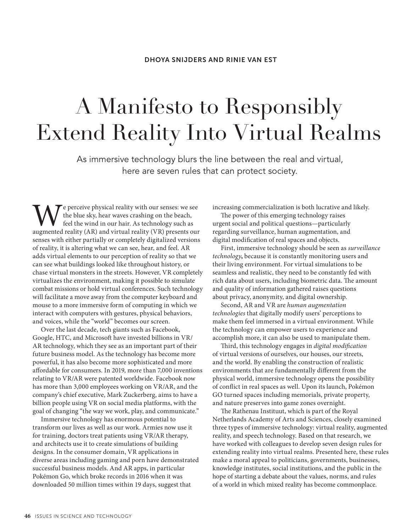# A Manifesto to Responsibly Extend Reality Into Virtual Realms

As immersive technology blurs the line between the real and virtual, here are seven rules that can protect society.

 $\tau$  e perceive physical reality with our senses: we see the blue sky, hear waves crashing on the beach, feel the wind in our hair. As technology such as augmented reality (AR) and virtual reality (VR) presents our senses with either partially or completely digitalized versions of reality, it is altering what we can see, hear, and feel. AR adds virtual elements to our perception of reality so that we can see what buildings looked like throughout history, or chase virtual monsters in the streets. However, VR completely virtualizes the environment, making it possible to simulate combat missions or hold virtual conferences. Such technology will facilitate a move away from the computer keyboard and mouse to a more immersive form of computing in which we interact with computers with gestures, physical behaviors, and voices, while the "world" becomes our screen.

Over the last decade, tech giants such as Facebook, Google, HTC, and Microsoft have invested billions in VR/ AR technology, which they see as an important part of their future business model. As the technology has become more powerful, it has also become more sophisticated and more affordable for consumers. In 2019, more than 7,000 inventions relating to VR/AR were patented worldwide. Facebook now has more than 3,000 employees working on VR/AR, and the company's chief executive, Mark Zuckerberg, aims to have a billion people using VR on social media platforms, with the goal of changing "the way we work, play, and communicate."

Immersive technology has enormous potential to transform our lives as well as our work. Armies now use it for training, doctors treat patients using VR/AR therapy, and architects use it to create simulations of building designs. In the consumer domain, VR applications in diverse areas including gaming and porn have demonstrated successful business models. And AR apps, in particular Pokémon Go, which broke records in 2016 when it was downloaded 50 million times within 19 days, suggest that

increasing commercialization is both lucrative and likely.

The power of this emerging technology raises urgent social and political questions—particularly regarding surveillance, human augmentation, and digital modification of real spaces and objects.

First, immersive technology should be seen as *surveillance technology***,** because it is constantly monitoring users and their living environment. For virtual simulations to be seamless and realistic, they need to be constantly fed with rich data about users, including biometric data. The amount and quality of information gathered raises questions about privacy, anonymity, and digital ownership.

Second, AR and VR are *human augmentation technologies* that digitally modify users' perceptions to make them feel immersed in a virtual environment. While the technology can empower users to experience and accomplish more, it can also be used to manipulate them.

Third, this technology engages in *digital modification* of virtual versions of ourselves, our houses, our streets, and the world. By enabling the construction of realistic environments that are fundamentally different from the physical world, immersive technology opens the possibility of conflict in real spaces as well. Upon its launch, Pokémon GO turned spaces including memorials, private property, and nature preserves into game zones overnight.

The Rathenau Instituut, which is part of the Royal Netherlands Academy of Arts and Sciences, closely examined three types of immersive technology: virtual reality, augmented reality, and speech technology. Based on that research, we have worked with colleagues to develop seven design rules for extending reality into virtual realms. Presented here, these rules make a moral appeal to politicians, governments, businesses, knowledge institutes, social institutions, and the public in the hope of starting a debate about the values, norms, and rules of a world in which mixed reality has become commonplace.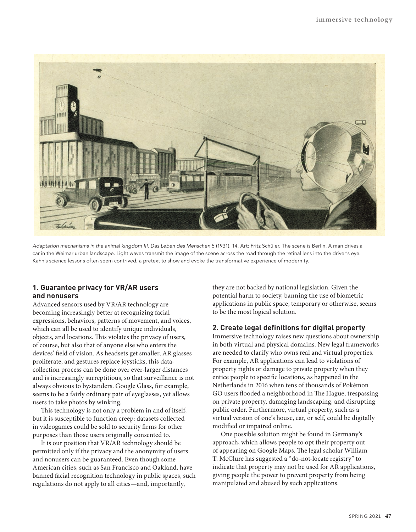

*Adaptation mechanisms in the animal kingdom III*, *Das Leben des Menschen* 5 (1931), 14. Art: Fritz Schüler. The scene is Berlin. A man drives a car in the Weimar urban landscape. Light waves transmit the image of the scene across the road through the retinal lens into the driver's eye. Kahn's science lessons often seem contrived, a pretext to show and evoke the transformative experience of modernity.

# **1. Guarantee privacy for VR/AR users and nonusers**

Advanced sensors used by VR/AR technology are becoming increasingly better at recognizing facial expressions, behaviors, patterns of movement, and voices, which can all be used to identify unique individuals, objects, and locations. This violates the privacy of users, of course, but also that of anyone else who enters the devices' field of vision. As headsets get smaller, AR glasses proliferate, and gestures replace joysticks, this datacollection process can be done over ever-larger distances and is increasingly surreptitious, so that surveillance is not always obvious to bystanders. Google Glass, for example, seems to be a fairly ordinary pair of eyeglasses, yet allows users to take photos by winking.

This technology is not only a problem in and of itself, but it is susceptible to function creep: datasets collected in videogames could be sold to security firms for other purposes than those users originally consented to.

It is our position that VR/AR technology should be permitted only if the privacy and the anonymity of users and nonusers can be guaranteed. Even though some American cities, such as San Francisco and Oakland, have banned facial recognition technology in public spaces, such regulations do not apply to all cities—and, importantly,

they are not backed by national legislation. Given the potential harm to society, banning the use of biometric applications in public space, temporary or otherwise, seems to be the most logical solution.

## **2. Create legal definitions for digital property**

Immersive technology raises new questions about ownership in both virtual and physical domains. New legal frameworks are needed to clarify who owns real and virtual properties. For example, AR applications can lead to violations of property rights or damage to private property when they entice people to specific locations, as happened in the Netherlands in 2016 when tens of thousands of Pokémon GO users flooded a neighborhood in The Hague, trespassing on private property, damaging landscaping, and disrupting public order. Furthermore, virtual property, such as a virtual version of one's house, car, or self, could be digitally modified or impaired online.

One possible solution might be found in Germany's approach, which allows people to opt their property out of appearing on Google Maps. The legal scholar William T. McClure has suggested a "do-not-locate registry" to indicate that property may not be used for AR applications, giving people the power to prevent property from being manipulated and abused by such applications.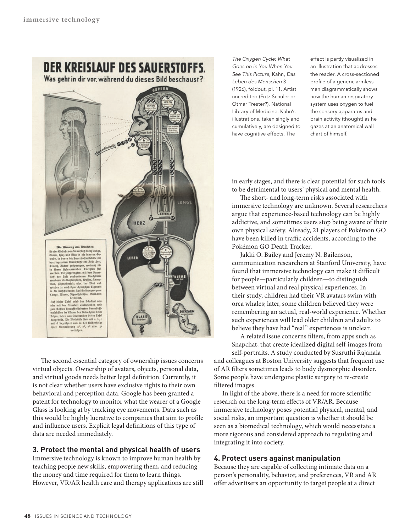**DER KREISLAUF DES SAUERSTOFFS.** Was geht in dir vor, während du dieses Bild beschaust? HIRN



The second essential category of ownership issues concerns virtual objects. Ownership of avatars, objects, personal data, and virtual goods needs better legal definition. Currently, it is not clear whether users have exclusive rights to their own behavioral and perception data. Google has been granted a patent for technology to monitor what the wearer of a Google Glass is looking at by tracking eye movements. Data such as this would be highly lucrative to companies that aim to profile and influence users. Explicit legal definitions of this type of data are needed immediately.

# **3. Protect the mental and physical health of users**

Immersive technology is known to improve human health by teaching people new skills, empowering them, and reducing the money and time required for them to learn things. However, VR/AR health care and therapy applications are still

*The Oxygen Cycle: What Goes on in You When You See This Picture*, Kahn, *Das Leben des Menschen* 3 (1926), foldout, pl. 11. Artist uncredited (Fritz Schüler or Otmar Trester?). National Library of Medicine. Kahn's illustrations, taken singly and cumulatively, are designed to have cognitive effects. The

effect is partly visualized in an illustration that addresses the reader. A cross-sectioned profile of a generic armless man diagrammatically shows how the human respiratory system uses oxygen to fuel the sensory apparatus and brain activity (thought) as he gazes at an anatomical wall chart of himself.

in early stages, and there is clear potential for such tools to be detrimental to users' physical and mental health.

The short- and long-term risks associated with immersive technology are unknown. Several researchers argue that experience-based technology can be highly addictive, and sometimes users stop being aware of their own physical safety. Already, 21 players of Pokémon GO have been killed in traffic accidents, according to the Pokémon GO Death Tracker.

Jakki O. Bailey and Jeremy N. Bailenson, communication researchers at Stanford University, have found that immersive technology can make it difficult for people—particularly children—to distinguish between virtual and real physical experiences. In their study, children had their VR avatars swim with orca whales; later, some children believed they were remembering an actual, real-world experience. Whether such experiences will lead older children and adults to believe they have had "real" experiences is unclear.

A related issue concerns filters, from apps such as Snapchat, that create idealized digital self-images from self-portraits. A study conducted by Susruthi Rajanala and colleagues at Boston University suggests that frequent use of AR filters sometimes leads to body dysmorphic disorder. Some people have undergone plastic surgery to re-create filtered images.

In light of the above, there is a need for more scientific research on the long-term effects of VR/AR. Because immersive technology poses potential physical, mental, and social risks, an important question is whether it should be seen as a biomedical technology, which would necessitate a more rigorous and considered approach to regulating and integrating it into society.

# **4. Protect users against manipulation**

Because they are capable of collecting intimate data on a person's personality, behavior, and preferences, VR and AR offer advertisers an opportunity to target people at a direct